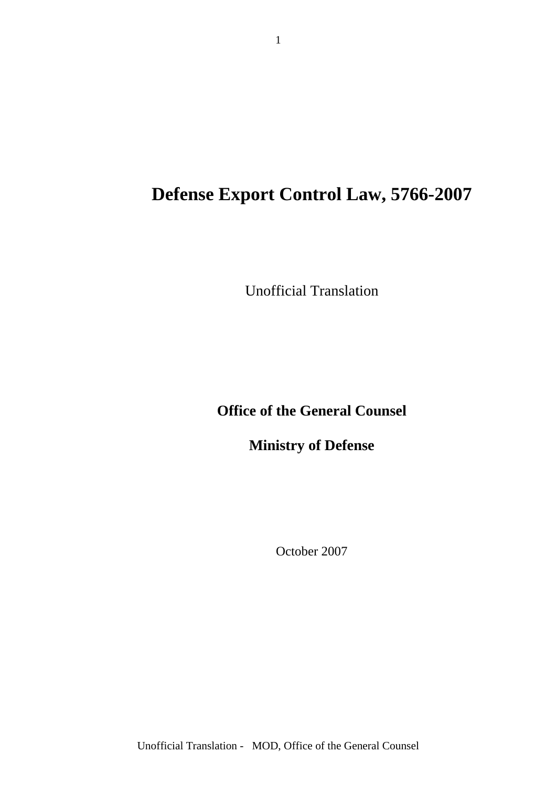# **Defense Export Control Law, 5766-2007**

Unofficial Translation

**Office of the General Counsel** 

**Ministry of Defense**

October 2007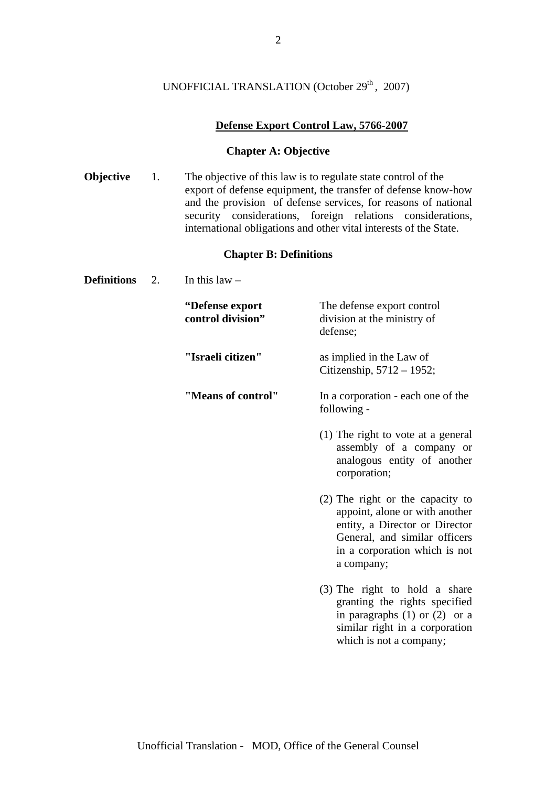# UNOFFICIAL TRANSLATION (October 29<sup>th</sup>, 2007)

# **Defense Export Control Law, 5766-2007**

# **Chapter A: Objective**

**Objective** 1. The objective of this law is to regulate state control of the export of defense equipment, the transfer of defense know-how and the provision of defense services, for reasons of national security considerations, foreign relations considerations, international obligations and other vital interests of the State.

# **Chapter B: Definitions**

**Definitions** 2. In this law –

| "Defense export<br>control division" | The defense export control<br>division at the ministry of<br>defense;                                                                                                                |
|--------------------------------------|--------------------------------------------------------------------------------------------------------------------------------------------------------------------------------------|
| "Israeli citizen"                    | as implied in the Law of<br>Citizenship, 5712 - 1952;                                                                                                                                |
| "Means of control"                   | In a corporation - each one of the<br>following -                                                                                                                                    |
|                                      | $(1)$ The right to vote at a general<br>assembly of a company or<br>analogous entity of another<br>corporation;                                                                      |
|                                      | (2) The right or the capacity to<br>appoint, alone or with another<br>entity, a Director or Director<br>General, and similar officers<br>in a corporation which is not<br>a company; |
|                                      | (3) The right to hold a share<br>granting the rights specified<br>in paragraphs $(1)$ or $(2)$ or a<br>similar right in a corporation<br>which is not a company;                     |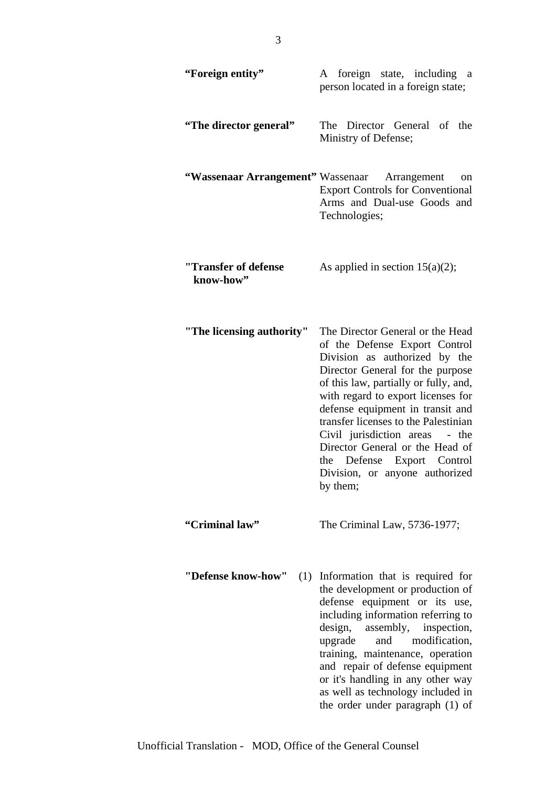| "Foreign entity"                  | A foreign state, including a<br>person located in a foreign state;                                                                                                                                                                                                                                                                                                                                                                                       |
|-----------------------------------|----------------------------------------------------------------------------------------------------------------------------------------------------------------------------------------------------------------------------------------------------------------------------------------------------------------------------------------------------------------------------------------------------------------------------------------------------------|
| "The director general"            | The Director General of the<br>Ministry of Defense;                                                                                                                                                                                                                                                                                                                                                                                                      |
|                                   | "Wassenaar Arrangement" Wassenaar Arrangement<br>on<br><b>Export Controls for Conventional</b><br>Arms and Dual-use Goods and<br>Technologies;                                                                                                                                                                                                                                                                                                           |
| "Transfer of defense<br>know-how" | As applied in section $15(a)(2)$ ;                                                                                                                                                                                                                                                                                                                                                                                                                       |
| "The licensing authority"         | The Director General or the Head<br>of the Defense Export Control<br>Division as authorized by the<br>Director General for the purpose<br>of this law, partially or fully, and,<br>with regard to export licenses for<br>defense equipment in transit and<br>transfer licenses to the Palestinian<br>Civil jurisdiction areas<br>- the<br>Director General or the Head of<br>Defense Export Control<br>the<br>Division, or anyone authorized<br>by them; |
| "Criminal law"                    | The Criminal Law, 5736-1977;                                                                                                                                                                                                                                                                                                                                                                                                                             |
| "Defense know-how"                | (1) Information that is required for<br>the development or production of<br>defense equipment or its use,<br>including information referring to<br>design, assembly, inspection,<br>and modification,<br>upgrade<br>training, maintenance, operation<br>and repair of defense equipment<br>or it's handling in any other way<br>as well as technology included in<br>the order under paragraph (1) of                                                    |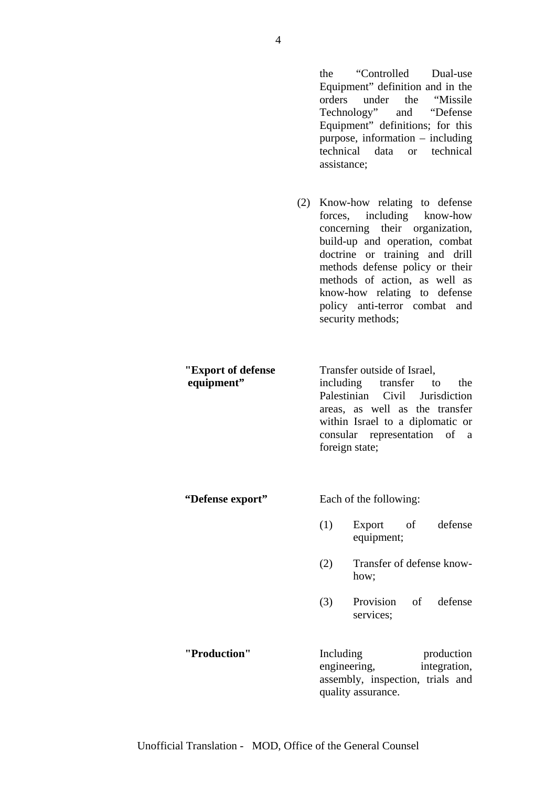|                                  |     | orders<br>technical<br>assistance; | the "Controlled Dual-use"<br>Equipment" definition and in the<br>under<br>the "Missile"<br>Technology" and "Defense"<br>Equipment" definitions; for this<br>purpose, information $-$ including<br>technical<br>data<br><sub>or</sub>                                                                                       |
|----------------------------------|-----|------------------------------------|----------------------------------------------------------------------------------------------------------------------------------------------------------------------------------------------------------------------------------------------------------------------------------------------------------------------------|
|                                  | (2) |                                    | Know-how relating to defense<br>forces, including know-how<br>concerning their organization,<br>build-up and operation, combat<br>doctrine or training and drill<br>methods defense policy or their<br>methods of action, as well as<br>know-how relating to defense<br>policy anti-terror combat and<br>security methods; |
| "Export of defense<br>equipment" |     |                                    | Transfer outside of Israel,<br>including transfer to the<br>Palestinian Civil Jurisdiction<br>areas, as well as the transfer<br>within Israel to a diplomatic or<br>consular representation of<br>a<br>foreign state;                                                                                                      |
| "Defense export"                 |     |                                    | Each of the following:                                                                                                                                                                                                                                                                                                     |
|                                  |     | (1)                                | Export<br>defense<br>of<br>equipment;                                                                                                                                                                                                                                                                                      |
|                                  |     | (2)                                | Transfer of defense know-<br>how;                                                                                                                                                                                                                                                                                          |
|                                  |     | (3)                                | Provision<br>of<br>defense<br>services;                                                                                                                                                                                                                                                                                    |
| "Production"                     |     | Including<br>engineering,          | production<br>integration,<br>assembly, inspection, trials and<br>quality assurance.                                                                                                                                                                                                                                       |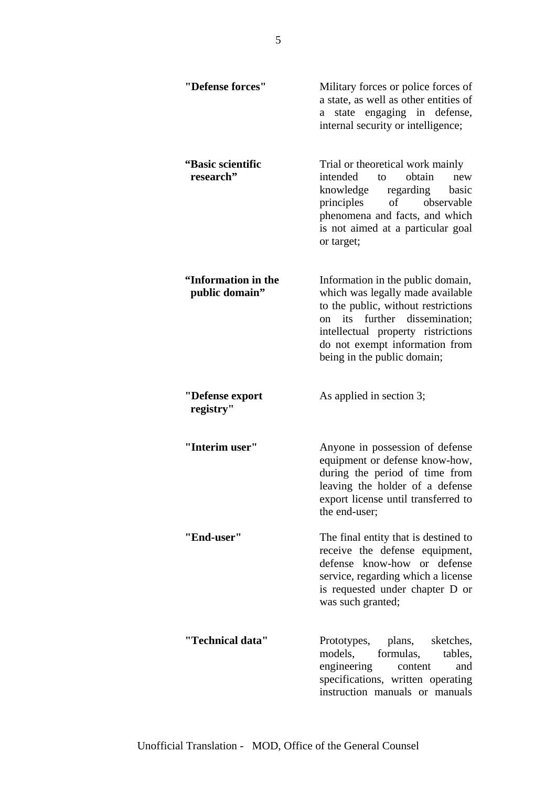| "Defense forces"                      | Military forces or police forces of<br>a state, as well as other entities of<br>state engaging in defense,<br>a<br>internal security or intelligence;                                                                                                |
|---------------------------------------|------------------------------------------------------------------------------------------------------------------------------------------------------------------------------------------------------------------------------------------------------|
| "Basic scientific<br>research"        | Trial or theoretical work mainly<br>obtain<br>intended<br>to to<br>new<br>regarding<br>knowledge<br>basic<br>of<br>principles<br>observable<br>phenomena and facts, and which<br>is not aimed at a particular goal<br>or target;                     |
| "Information in the<br>public domain" | Information in the public domain,<br>which was legally made available<br>to the public, without restrictions<br>on its further dissemination;<br>intellectual property ristrictions<br>do not exempt information from<br>being in the public domain; |
| "Defense export<br>registry"          | As applied in section 3;                                                                                                                                                                                                                             |
| "Interim user"                        | Anyone in possession of defense<br>equipment or defense know-how,<br>during the period of time from<br>leaving the holder of a defense<br>export license until transferred to<br>the end-user;                                                       |
| "End-user"                            | The final entity that is destined to<br>receive the defense equipment,<br>defense know-how or defense<br>service, regarding which a license<br>is requested under chapter D or<br>was such granted;                                                  |
| "Technical data"                      | Prototypes, plans, sketches,<br>models,<br>formulas,<br>tables,<br>engineering<br>content<br>and<br>specifications, written operating<br>instruction manuals or manuals                                                                              |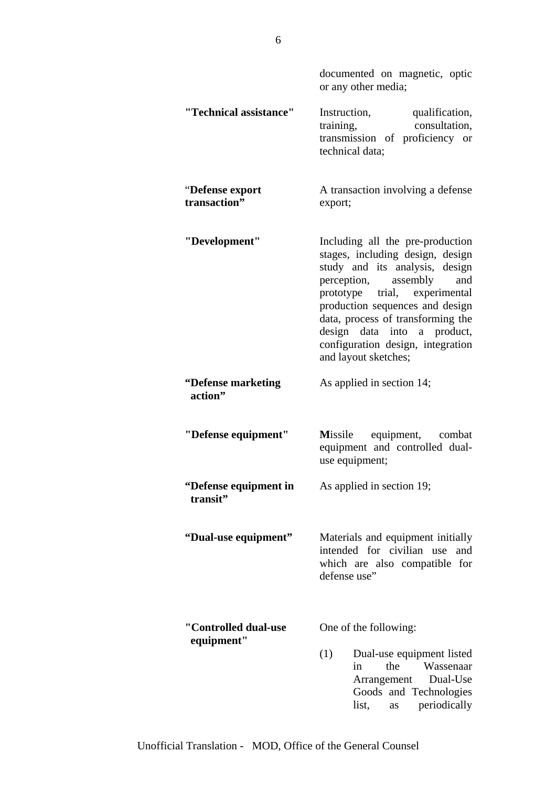| documented on magnetic, optic |  |  |
|-------------------------------|--|--|
| or any other media;           |  |  |

**"Technical assistance"** Instruction, qualification, training, consultation, transmission of proficiency or technical data;

**"Defense export** A transaction involving a defense **transaction"** export;

- **"Development"** Including all the pre-production stages, including design, design study and its analysis, design perception, assembly and prototype trial, experimental production sequences and design data, process of transforming the design data into a product, configuration design, integration and layout sketches;
- **"Defense marketing** As applied in section 14;  **action"**
- **"Defense equipment" M**issile equipment, combat equipment and controlled dualuse equipment;
- **"Defense equipment in** As applied in section 19;  **transit"**
- **"Dual-use equipment"** Materials and equipment initially intended for civilian use and which are also compatible for defense use"
- **"Controlled dual-use** One of the following:  **equipment"**  (1) Dual-use equipment listed
	- in the Wassenaar Arrangement Dual-Use Goods and Technologies list, as periodically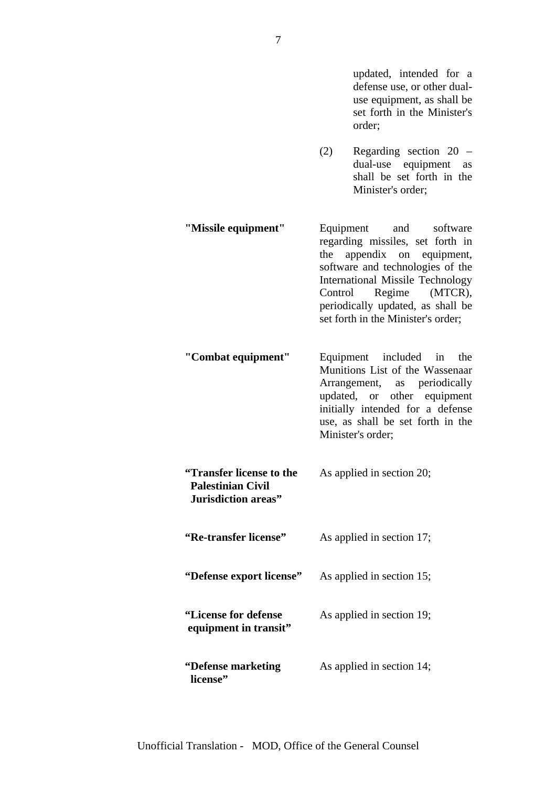updated, intended for a defense use, or other dualuse equipment, as shall be set forth in the Minister's order;

- (2) Regarding section 20 dual-use equipment as shall be set forth in the Minister's order;
- **"Missile equipment"** Equipment and software regarding missiles, set forth in the appendix on equipment, software and technologies of the International Missile Technology Control Regime (MTCR), periodically updated, as shall be set forth in the Minister's order;
- **"Combat equipment"** Equipment included in the Munitions List of the Wassenaar Arrangement, as periodically updated, or other equipment initially intended for a defense use, as shall be set forth in the Minister's order;
- **"Transfer license to the** As applied in section 20;  **Palestinian Civil Jurisdiction areas" "Re-transfer license"** As applied in section 17; **"Defense export license"** As applied in section 15; **"License for defense** As applied in section 19;  **equipment in transit" "Defense marketing** As applied in section 14;

 **license"**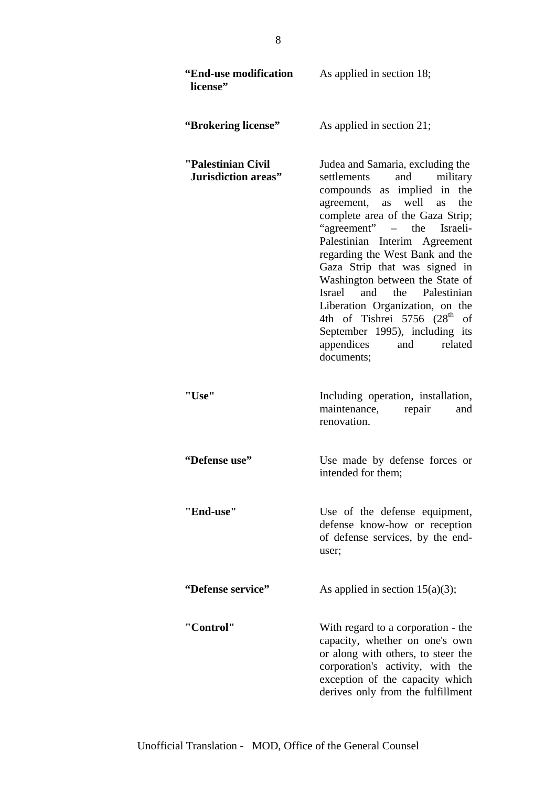| <b>"End-use modification</b><br>license"  | As applied in section 18;                                                                                                                                                                                                                                                                                                                                                                                                                                                                                                         |
|-------------------------------------------|-----------------------------------------------------------------------------------------------------------------------------------------------------------------------------------------------------------------------------------------------------------------------------------------------------------------------------------------------------------------------------------------------------------------------------------------------------------------------------------------------------------------------------------|
| "Brokering license"                       | As applied in section 21;                                                                                                                                                                                                                                                                                                                                                                                                                                                                                                         |
| "Palestinian Civil<br>Jurisdiction areas" | Judea and Samaria, excluding the<br>settlements<br>and<br>military<br>compounds as implied in the<br>agreement, as well as<br>the<br>complete area of the Gaza Strip;<br>"agreement" – the Israeli-<br>Palestinian Interim Agreement<br>regarding the West Bank and the<br>Gaza Strip that was signed in<br>Washington between the State of<br>Israel and the Palestinian<br>Liberation Organization, on the<br>4th of Tishrei 5756 $(28th$<br>of<br>September 1995), including its<br>appendices<br>related<br>and<br>documents; |
| "Use"                                     | Including operation, installation,<br>maintenance, repair<br>and<br>renovation.                                                                                                                                                                                                                                                                                                                                                                                                                                                   |
| "Defense use"                             | Use made by defense forces or<br>intended for them;                                                                                                                                                                                                                                                                                                                                                                                                                                                                               |
| "End-use"                                 | Use of the defense equipment,<br>defense know-how or reception<br>of defense services, by the end-<br>user;                                                                                                                                                                                                                                                                                                                                                                                                                       |
| "Defense service"                         | As applied in section $15(a)(3)$ ;                                                                                                                                                                                                                                                                                                                                                                                                                                                                                                |
| "Control"                                 | With regard to a corporation - the<br>capacity, whether on one's own<br>or along with others, to steer the<br>corporation's activity, with the<br>exception of the capacity which<br>derives only from the fulfillment                                                                                                                                                                                                                                                                                                            |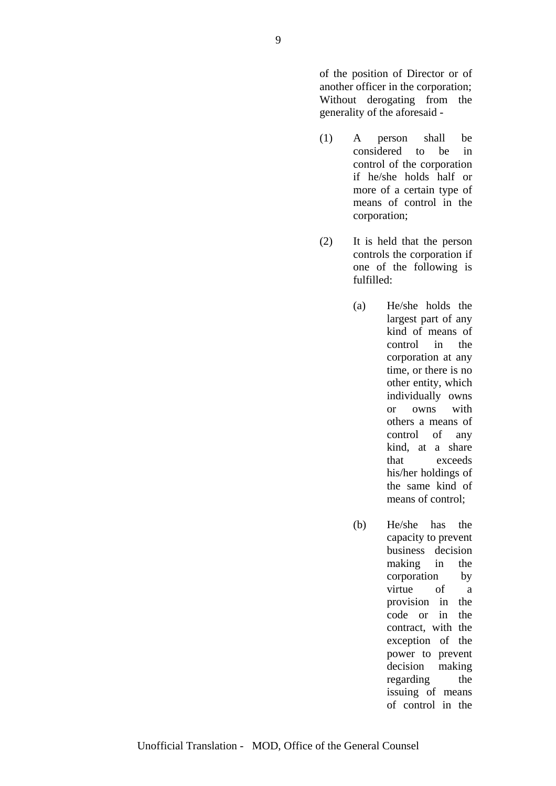of the position of Director or of another officer in the corporation; Without derogating from the generality of the aforesaid -

- (1) A person shall be considered to be in control of the corporation if he/she holds half or more of a certain type of means of control in the corporation;
- (2) It is held that the person controls the corporation if one of the following is fulfilled:
	- (a) He/she holds the largest part of any kind of means of control in the corporation at any time, or there is no other entity, which individually owns or owns with others a means of control of any kind, at a share that exceeds his/her holdings of the same kind of means of control;
	- (b) He/she has the capacity to prevent business decision making in the corporation by virtue of a provision in the code or in the contract, with the exception of the power to prevent decision making regarding the issuing of means of control in the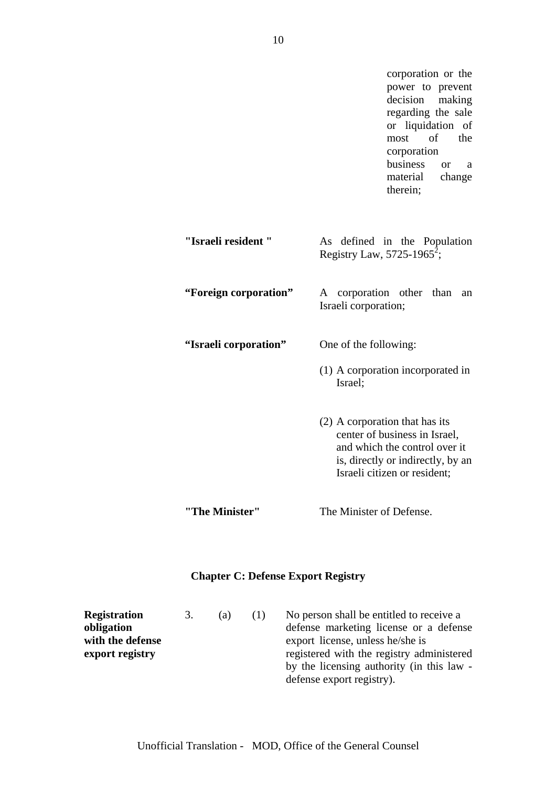corporation or the power to prevent decision making regarding the sale or liquidation of most of the corporation business or a material change therein; **"Israeli resident "** As defined in the Population Registry Law, 5725-1965<sup>2</sup>; **"Foreign corporation"** A corporation other than an Israeli corporation; **"Israeli corporation"** One of the following: (1) A corporation incorporated in Israel; (2) A corporation that has its center of business in Israel, and which the control over it is, directly or indirectly, by an Israeli citizen or resident; **"The Minister"** The Minister of Defense.

# **Chapter C: Defense Export Registry**

| <b>Registration</b> | 3. | (a) | (1) | No person shall be entitled to receive a  |
|---------------------|----|-----|-----|-------------------------------------------|
| obligation          |    |     |     | defense marketing license or a defense    |
| with the defense    |    |     |     | export license, unless he/she is          |
| export registry     |    |     |     | registered with the registry administered |
|                     |    |     |     | by the licensing authority (in this law - |
|                     |    |     |     | defense export registry).                 |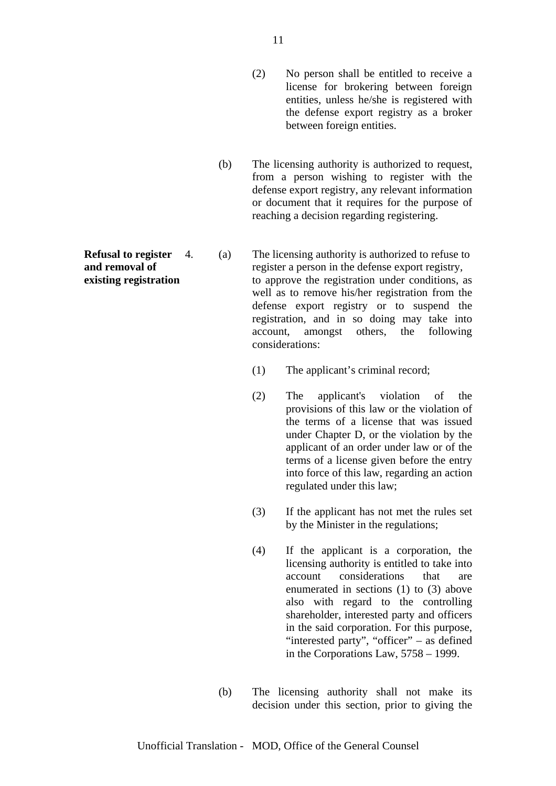- (2) No person shall be entitled to receive a license for brokering between foreign entities, unless he/she is registered with the defense export registry as a broker between foreign entities.
- (b) The licensing authority is authorized to request, from a person wishing to register with the defense export registry, any relevant information or document that it requires for the purpose of reaching a decision regarding registering.

**Refusal to register** 4. (a) The licensing authority is authorized to refuse to **and removal of** register a person in the defense export registry, **existing registration** to approve the registration under conditions, as well as to remove his/her registration from the defense export registry or to suspend the registration, and in so doing may take into account, amongst others, the following considerations:

- (1) The applicant's criminal record;
- (2) The applicant's violation of the provisions of this law or the violation of the terms of a license that was issued under Chapter D, or the violation by the applicant of an order under law or of the terms of a license given before the entry into force of this law, regarding an action regulated under this law;
- (3) If the applicant has not met the rules set by the Minister in the regulations;
- (4) If the applicant is a corporation, the licensing authority is entitled to take into account considerations that are enumerated in sections (1) to (3) above also with regard to the controlling shareholder, interested party and officers in the said corporation. For this purpose, "interested party", "officer" – as defined in the Corporations Law, 5758 – 1999.
- (b) The licensing authority shall not make its decision under this section, prior to giving the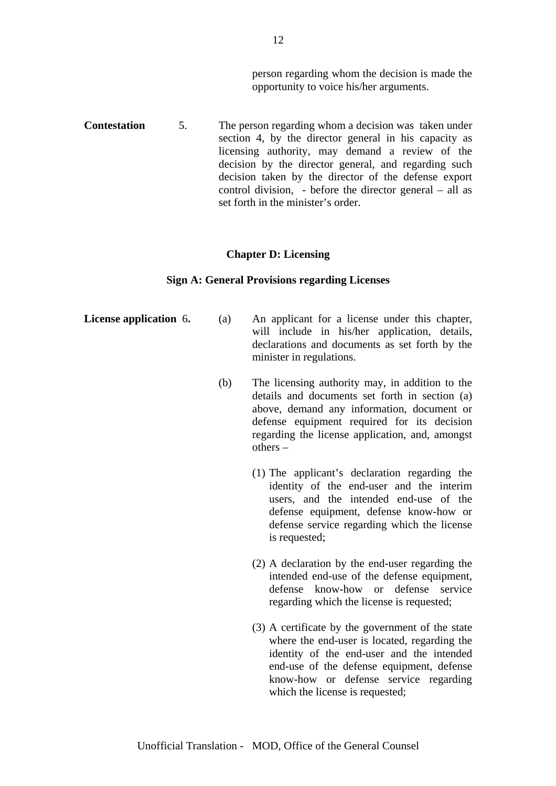person regarding whom the decision is made the opportunity to voice his/her arguments.

**Contestation** 5. The person regarding whom a decision was taken under section 4, by the director general in his capacity as licensing authority, may demand a review of the decision by the director general, and regarding such decision taken by the director of the defense export control division, - before the director general – all as set forth in the minister's order.

#### **Chapter D: Licensing**

#### **Sign A: General Provisions regarding Licenses**

- **License application** 6. (a) An applicant for a license under this chapter, will include in his/her application, details, declarations and documents as set forth by the minister in regulations.
	- (b) The licensing authority may, in addition to the details and documents set forth in section (a) above, demand any information, document or defense equipment required for its decision regarding the license application, and, amongst others –
		- (1) The applicant's declaration regarding the identity of the end-user and the interim users, and the intended end-use of the defense equipment, defense know-how or defense service regarding which the license is requested;
		- (2) A declaration by the end-user regarding the intended end-use of the defense equipment, defense know-how or defense service regarding which the license is requested;
		- (3) A certificate by the government of the state where the end-user is located, regarding the identity of the end-user and the intended end-use of the defense equipment, defense know-how or defense service regarding which the license is requested;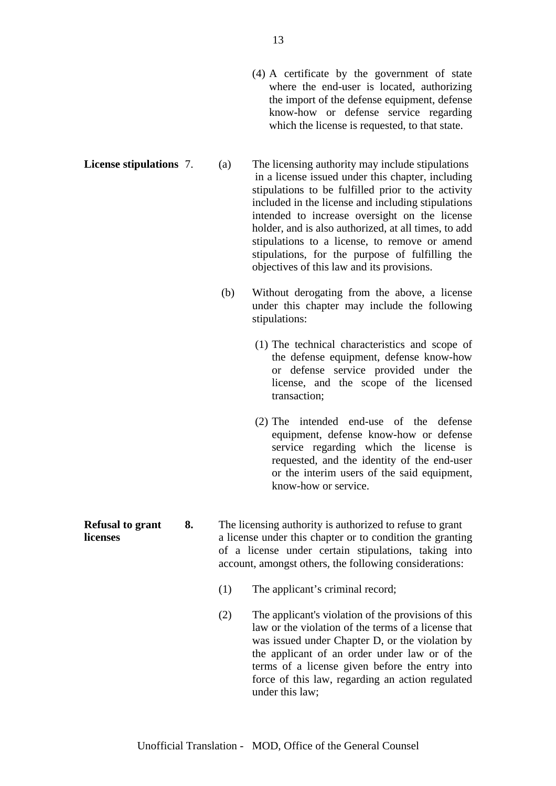(4) A certificate by the government of state where the end-user is located, authorizing the import of the defense equipment, defense know-how or defense service regarding which the license is requested, to that state.

**License stipulations** 7. (a) The licensing authority may include stipulations in a license issued under this chapter, including stipulations to be fulfilled prior to the activity included in the license and including stipulations intended to increase oversight on the license holder, and is also authorized, at all times, to add stipulations to a license, to remove or amend stipulations, for the purpose of fulfilling the objectives of this law and its provisions.

- (b) Without derogating from the above, a license under this chapter may include the following stipulations:
	- (1) The technical characteristics and scope of the defense equipment, defense know-how or defense service provided under the license, and the scope of the licensed transaction;
	- (2) The intended end-use of the defense equipment, defense know-how or defense service regarding which the license is requested, and the identity of the end-user or the interim users of the said equipment, know-how or service.
- **Refusal to grant 8.** The licensing authority is authorized to refuse to grant **licenses** a license under this chapter or to condition the granting of a license under certain stipulations, taking into account, amongst others, the following considerations:
	- (1) The applicant's criminal record;
	- (2) The applicant's violation of the provisions of this law or the violation of the terms of a license that was issued under Chapter D, or the violation by the applicant of an order under law or of the terms of a license given before the entry into force of this law, regarding an action regulated under this law;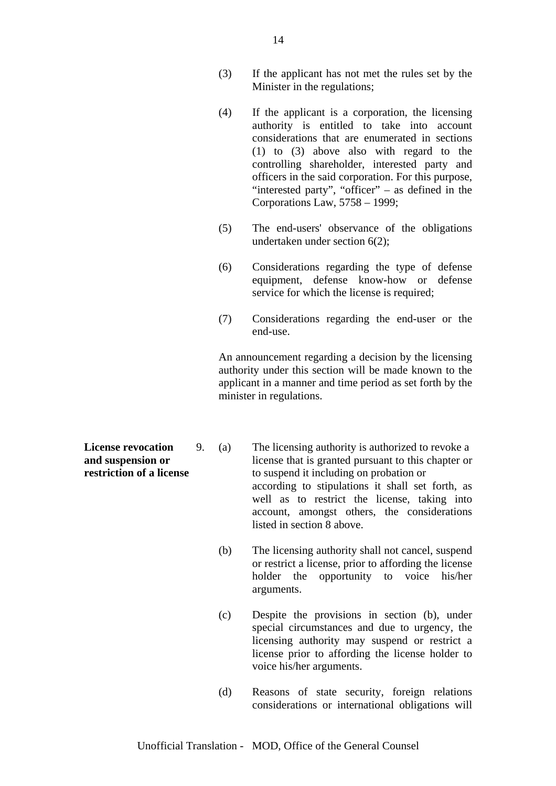- (3) If the applicant has not met the rules set by the Minister in the regulations;
- (4) If the applicant is a corporation, the licensing authority is entitled to take into account considerations that are enumerated in sections (1) to (3) above also with regard to the controlling shareholder, interested party and officers in the said corporation. For this purpose, "interested party", "officer" – as defined in the Corporations Law, 5758 – 1999;
- (5) The end-users' observance of the obligations undertaken under section 6(2);
- (6) Considerations regarding the type of defense equipment, defense know-how or defense service for which the license is required;
- (7) Considerations regarding the end-user or the end-use.

An announcement regarding a decision by the licensing authority under this section will be made known to the applicant in a manner and time period as set forth by the minister in regulations.

- **License revocation** 9. (a) The licensing authority is authorized to revoke a **and suspension or license that is granted pursuant to this chapter or restriction of a license** to suspend it including on probation or according to stipulations it shall set forth, as well as to restrict the license, taking into account, amongst others, the considerations listed in section 8 above.
	- (b) The licensing authority shall not cancel, suspend or restrict a license, prior to affording the license holder the opportunity to voice his/her arguments.
	- (c) Despite the provisions in section (b), under special circumstances and due to urgency, the licensing authority may suspend or restrict a license prior to affording the license holder to voice his/her arguments.
	- (d) Reasons of state security, foreign relations considerations or international obligations will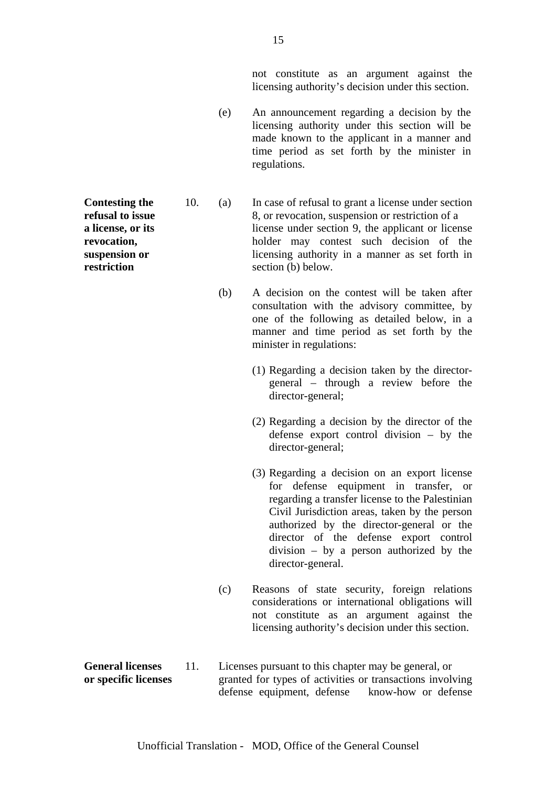not constitute as an argument against the licensing authority's decision under this section.

- (e) An announcement regarding a decision by the licensing authority under this section will be made known to the applicant in a manner and time period as set forth by the minister in regulations.
- **Contesting the** 10. (a) In case of refusal to grant a license under section **refusal to issue** 8, or revocation, suspension or restriction of a **a license, or its license** under section 9, the applicant or license **revocation,** holder may contest such decision of the **suspension or licensing authority in a manner as set forth in restriction** section (b) below.
	- (b) A decision on the contest will be taken after consultation with the advisory committee, by one of the following as detailed below, in a manner and time period as set forth by the minister in regulations:
		- (1) Regarding a decision taken by the directorgeneral – through a review before the director-general;
		- (2) Regarding a decision by the director of the defense export control division – by the director-general;
		- (3) Regarding a decision on an export license for defense equipment in transfer, or regarding a transfer license to the Palestinian Civil Jurisdiction areas, taken by the person authorized by the director-general or the director of the defense export control division – by a person authorized by the director-general.
	- (c) Reasons of state security, foreign relations considerations or international obligations will not constitute as an argument against the licensing authority's decision under this section.
- **General licenses** 11. Licenses pursuant to this chapter may be general, or **or specific licenses** granted for types of activities or transactions involving defense equipment, defense know-how or defense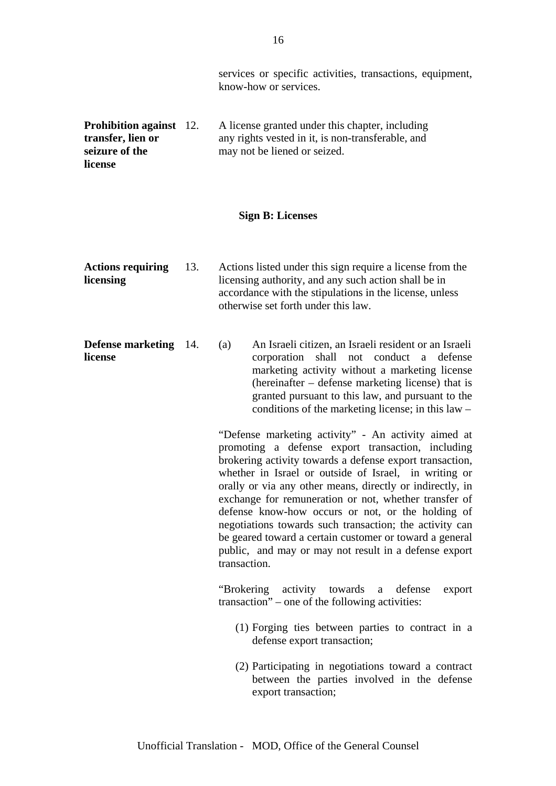services or specific activities, transactions, equipment, know-how or services. **Prohibition against** 12. A license granted under this chapter, including **transfer, lien or** any rights vested in it, is non-transferable, and **seizure of the** may not be liened or seized. **license Sign B: Licenses Actions requiring** 13. Actions listed under this sign require a license from the **licensing** licensing authority, and any such action shall be in accordance with the stipulations in the license, unless otherwise set forth under this law. **Defense marketing** 14. (a) An Israeli citizen, an Israeli resident or an Israeli **license** corporation shall not conduct a defense marketing activity without a marketing license (hereinafter – defense marketing license) that is granted pursuant to this law, and pursuant to the conditions of the marketing license; in this law – "Defense marketing activity" - An activity aimed at promoting a defense export transaction, including brokering activity towards a defense export transaction, whether in Israel or outside of Israel, in writing or orally or via any other means, directly or indirectly, in exchange for remuneration or not, whether transfer of defense know-how occurs or not, or the holding of negotiations towards such transaction; the activity can be geared toward a certain customer or toward a general public, and may or may not result in a defense export transaction. "Brokering activity towards a defense export transaction" – one of the following activities: (1) Forging ties between parties to contract in a defense export transaction; (2) Participating in negotiations toward a contract between the parties involved in the defense export transaction;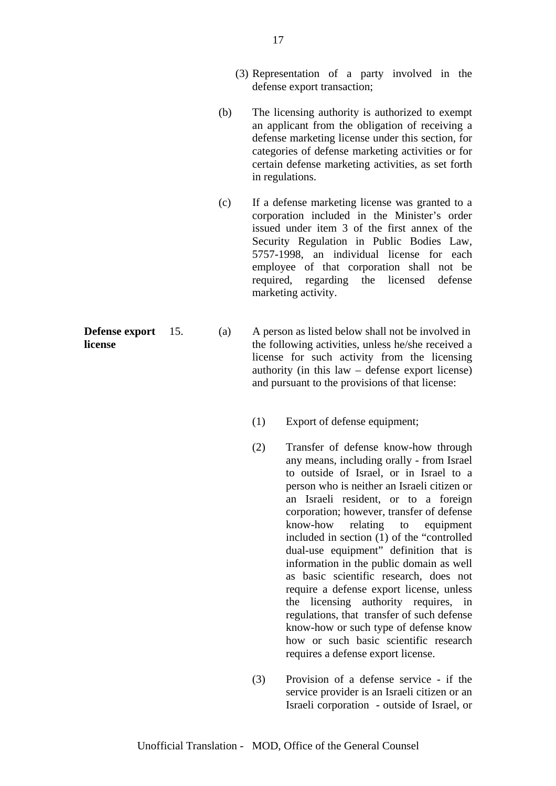- (3) Representation of a party involved in the defense export transaction;
- (b) The licensing authority is authorized to exempt an applicant from the obligation of receiving a defense marketing license under this section, for categories of defense marketing activities or for certain defense marketing activities, as set forth in regulations.
- (c) If a defense marketing license was granted to a corporation included in the Minister's order issued under item 3 of the first annex of the Security Regulation in Public Bodies Law, 5757-1998, an individual license for each employee of that corporation shall not be required, regarding the licensed defense marketing activity.
- **Defense export** 15. (a) A person as listed below shall not be involved in **license** the following activities, unless he/she received a license for such activity from the licensing authority (in this law – defense export license) and pursuant to the provisions of that license:
	- (1) Export of defense equipment;
	- (2) Transfer of defense know-how through any means, including orally - from Israel to outside of Israel, or in Israel to a person who is neither an Israeli citizen or an Israeli resident, or to a foreign corporation; however, transfer of defense know-how relating to equipment included in section (1) of the "controlled dual-use equipment" definition that is information in the public domain as well as basic scientific research, does not require a defense export license, unless the licensing authority requires, in regulations, that transfer of such defense know-how or such type of defense know how or such basic scientific research requires a defense export license.
	- (3) Provision of a defense service if the service provider is an Israeli citizen or an Israeli corporation - outside of Israel, or

Unofficial Translation - MOD, Office of the General Counsel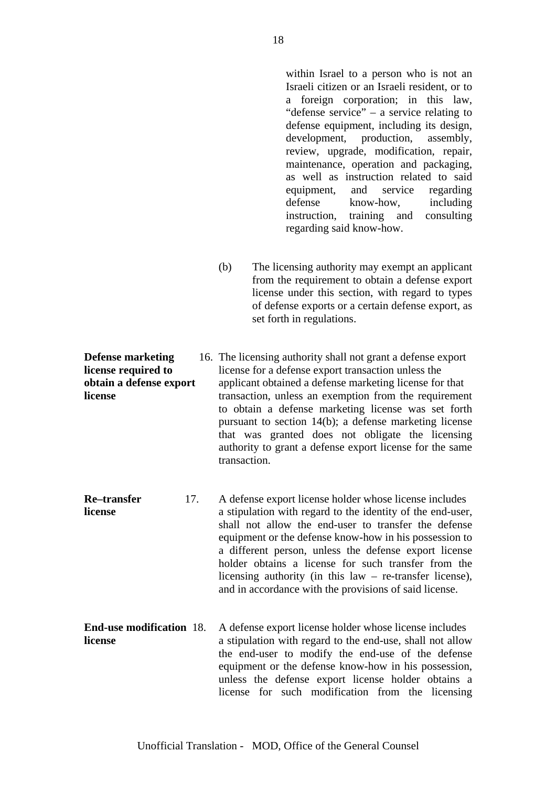within Israel to a person who is not an Israeli citizen or an Israeli resident, or to a foreign corporation; in this law, "defense service" – a service relating to defense equipment, including its design, development, production, assembly, review, upgrade, modification, repair, maintenance, operation and packaging, as well as instruction related to said equipment, and service regarding defense know-how, including instruction, training and consulting regarding said know-how.

(b) The licensing authority may exempt an applicant from the requirement to obtain a defense export license under this section, with regard to types of defense exports or a certain defense export, as set forth in regulations.

**Defense marketing** 16. The licensing authority shall not grant a defense export **license required to** license for a defense export transaction unless the **obtain a defense export** applicant obtained a defense marketing license for that **license** transaction, unless an exemption from the requirement to obtain a defense marketing license was set forth pursuant to section 14(b); a defense marketing license that was granted does not obligate the licensing authority to grant a defense export license for the same transaction.

- **Re–transfer** 17. A defense export license holder whose license includes **license** a stipulation with regard to the identity of the end-user, shall not allow the end-user to transfer the defense equipment or the defense know-how in his possession to a different person, unless the defense export license holder obtains a license for such transfer from the licensing authority (in this law – re-transfer license), and in accordance with the provisions of said license.
- **End-use modification** 18. A defense export license holder whose license includes **license a** stipulation with regard to the end-use, shall not allow the end-user to modify the end-use of the defense equipment or the defense know-how in his possession, unless the defense export license holder obtains a license for such modification from the licensing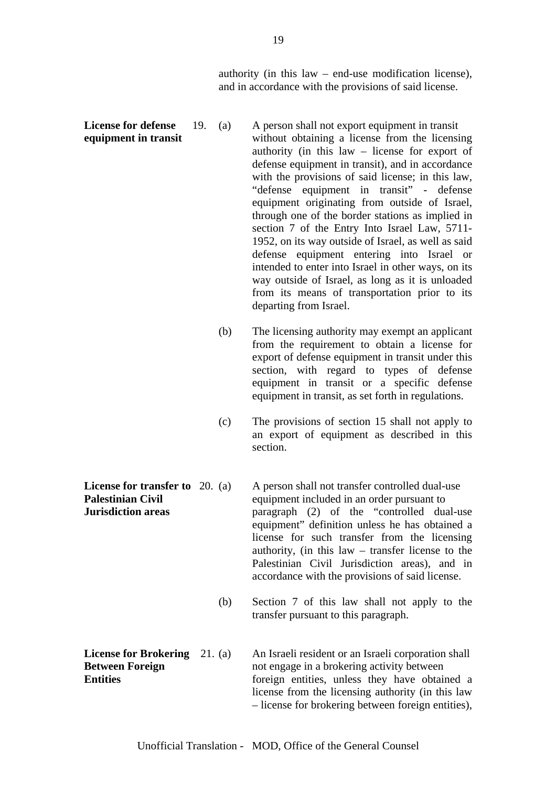authority (in this law – end-use modification license), and in accordance with the provisions of said license.

- **License for defense** 19. (a) A person shall not export equipment in transit **equipment in transit** without obtaining a license from the licensing authority (in this law – license for export of defense equipment in transit), and in accordance with the provisions of said license; in this law, "defense equipment in transit" - defense equipment originating from outside of Israel, through one of the border stations as implied in section 7 of the Entry Into Israel Law, 5711- 1952, on its way outside of Israel, as well as said defense equipment entering into Israel or intended to enter into Israel in other ways, on its way outside of Israel, as long as it is unloaded from its means of transportation prior to its departing from Israel.
	- (b) The licensing authority may exempt an applicant from the requirement to obtain a license for export of defense equipment in transit under this section, with regard to types of defense equipment in transit or a specific defense equipment in transit, as set forth in regulations.
	- (c) The provisions of section 15 shall not apply to an export of equipment as described in this section.
- **License for transfer to** 20. (a) A person shall not transfer controlled dual-use **Palestinian Civil** equipment included in an order pursuant to **Jurisdiction areas paragraph** (2) of the "controlled dual-use equipment" definition unless he has obtained a license for such transfer from the licensing authority, (in this law – transfer license to the Palestinian Civil Jurisdiction areas), and in accordance with the provisions of said license.
	- (b) Section 7 of this law shall not apply to the transfer pursuant to this paragraph.
- **License for Brokering** 21. (a) An Israeli resident or an Israeli corporation shall **Between Foreign** not engage in a brokering activity between **Entities foreign entities**, unless they have obtained a license from the licensing authority (in this law – license for brokering between foreign entities),

Unofficial Translation - MOD, Office of the General Counsel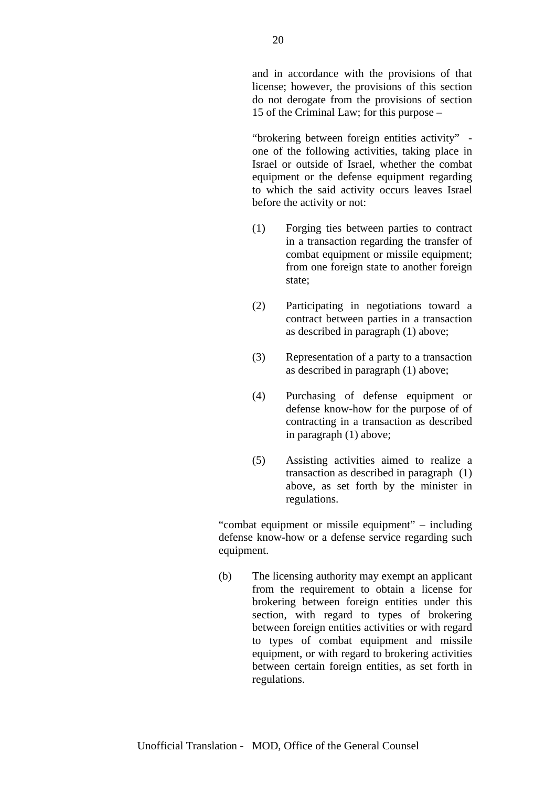and in accordance with the provisions of that license; however, the provisions of this section do not derogate from the provisions of section 15 of the Criminal Law; for this purpose –

"brokering between foreign entities activity" one of the following activities, taking place in Israel or outside of Israel, whether the combat equipment or the defense equipment regarding to which the said activity occurs leaves Israel before the activity or not:

- (1) Forging ties between parties to contract in a transaction regarding the transfer of combat equipment or missile equipment; from one foreign state to another foreign state;
- (2) Participating in negotiations toward a contract between parties in a transaction as described in paragraph (1) above;
- (3) Representation of a party to a transaction as described in paragraph (1) above;
- (4) Purchasing of defense equipment or defense know-how for the purpose of of contracting in a transaction as described in paragraph (1) above;
- (5) Assisting activities aimed to realize a transaction as described in paragraph (1) above, as set forth by the minister in regulations.

"combat equipment or missile equipment" – including defense know-how or a defense service regarding such equipment.

(b) The licensing authority may exempt an applicant from the requirement to obtain a license for brokering between foreign entities under this section, with regard to types of brokering between foreign entities activities or with regard to types of combat equipment and missile equipment, or with regard to brokering activities between certain foreign entities, as set forth in regulations.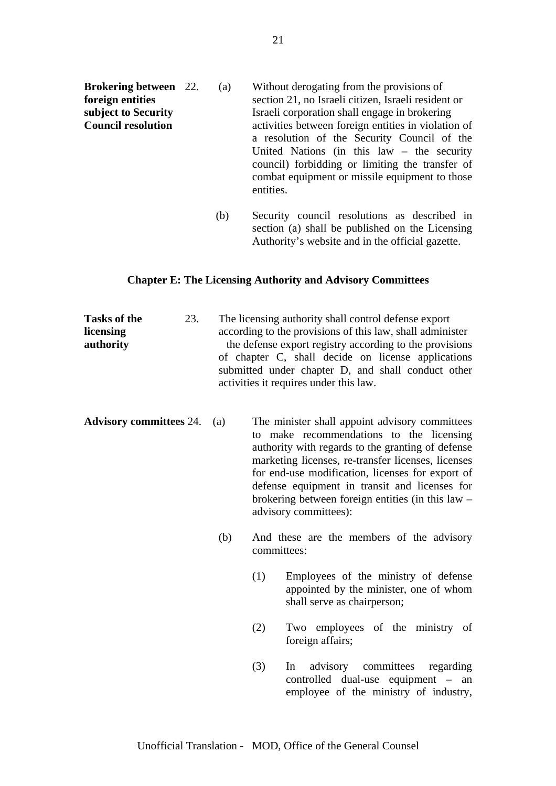| <b>Brokering between</b> 22. | (a) | Without derogating from the provisions of                                                                                                                      |
|------------------------------|-----|----------------------------------------------------------------------------------------------------------------------------------------------------------------|
| foreign entities             |     | section 21, no Israeli citizen, Israeli resident or                                                                                                            |
| subject to Security          |     | Israeli corporation shall engage in brokering                                                                                                                  |
| <b>Council resolution</b>    |     | activities between foreign entities in violation of<br>a resolution of the Security Council of the                                                             |
|                              |     | United Nations (in this $law - the security$<br>council) forbidding or limiting the transfer of<br>combat equipment or missile equipment to those<br>entities. |
|                              |     |                                                                                                                                                                |

 (b) Security council resolutions as described in section (a) shall be published on the Licensing Authority's website and in the official gazette.

# **Chapter E: The Licensing Authority and Advisory Committees**

**Tasks of the** 23. The licensing authority shall control defense export **licensing** according to the provisions of this law, shall administer **authority** the defense export registry according to the provisions of chapter C, shall decide on license applications submitted under chapter D, and shall conduct other activities it requires under this law.

- **Advisory committees** 24. (a) The minister shall appoint advisory committees to make recommendations to the licensing authority with regards to the granting of defense marketing licenses, re-transfer licenses, licenses for end-use modification, licenses for export of defense equipment in transit and licenses for brokering between foreign entities (in this law – advisory committees):
	- (b) And these are the members of the advisory committees:
		- (1) Employees of the ministry of defense appointed by the minister, one of whom shall serve as chairperson;
		- (2) Two employees of the ministry of foreign affairs;
		- (3) In advisory committees regarding controlled dual-use equipment – an employee of the ministry of industry,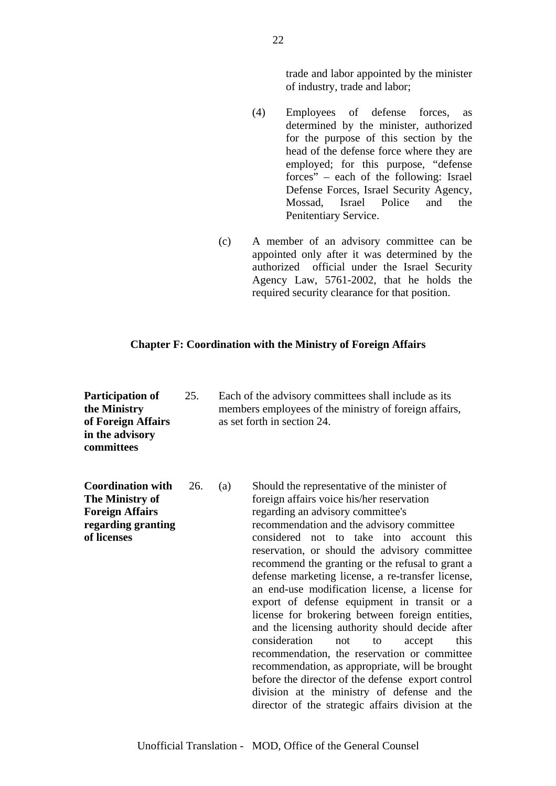trade and labor appointed by the minister of industry, trade and labor;

- (4) Employees of defense forces, as determined by the minister, authorized for the purpose of this section by the head of the defense force where they are employed; for this purpose, "defense forces" – each of the following: Israel Defense Forces, Israel Security Agency, Mossad, Israel Police and the Penitentiary Service.
- (c) A member of an advisory committee can be appointed only after it was determined by the authorized official under the Israel Security Agency Law, 5761-2002, that he holds the required security clearance for that position.

## **Chapter F: Coordination with the Ministry of Foreign Affairs**

**Participation of** 25. Each of the advisory committees shall include as its **the Ministry** members employees of the ministry of foreign affairs, **of Foreign Affairs** as set forth in section 24. **in the advisory committees Coordination with** 26. (a) Should the representative of the minister of **The Ministry of** foreign affairs voice his/her reservation **Foreign Affairs** regarding an advisory committee's **regarding granting** recommendation and the advisory committee **of licenses** considered not to take into account this reservation, or should the advisory committee recommend the granting or the refusal to grant a defense marketing license, a re-transfer license, an end-use modification license, a license for export of defense equipment in transit or a license for brokering between foreign entities, and the licensing authority should decide after consideration not to accept this recommendation, the reservation or committee recommendation, as appropriate, will be brought before the director of the defense export control division at the ministry of defense and the director of the strategic affairs division at the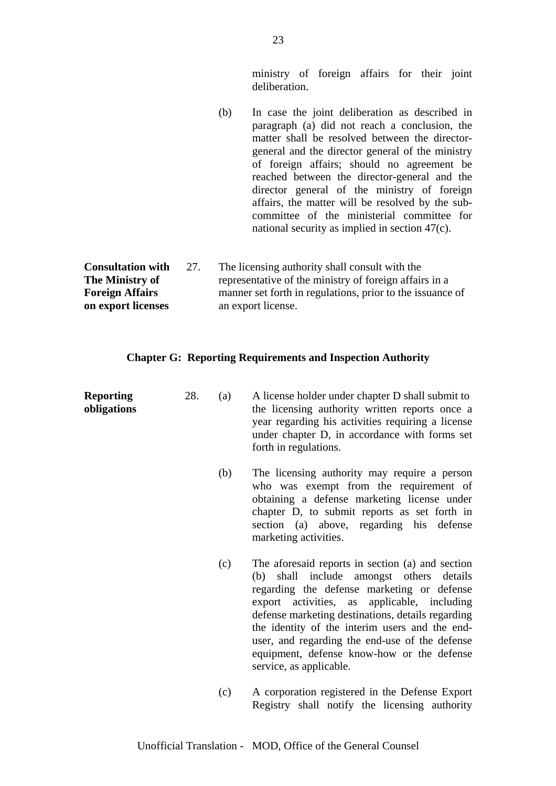ministry of foreign affairs for their joint deliberation.

(b) In case the joint deliberation as described in paragraph (a) did not reach a conclusion, the matter shall be resolved between the directorgeneral and the director general of the ministry of foreign affairs; should no agreement be reached between the director-general and the director general of the ministry of foreign affairs, the matter will be resolved by the subcommittee of the ministerial committee for national security as implied in section 47(c).

**Consultation with** 27. The licensing authority shall consult with the **The Ministry of** representative of the ministry of foreign affairs in a **Foreign Affairs** manner set forth in regulations, prior to the issuance of **on export licenses** an export license.

# **Chapter G: Reporting Requirements and Inspection Authority**

| <b>Reporting</b><br>obligations | 28. | (a) | A license holder under chapter D shall submit to<br>the licensing authority written reports once a<br>year regarding his activities requiring a license<br>under chapter D, in accordance with forms set<br>forth in regulations.                                                                                                                                                                                           |
|---------------------------------|-----|-----|-----------------------------------------------------------------------------------------------------------------------------------------------------------------------------------------------------------------------------------------------------------------------------------------------------------------------------------------------------------------------------------------------------------------------------|
|                                 |     | (b) | The licensing authority may require a person<br>who was exempt from the requirement of<br>obtaining a defense marketing license under<br>chapter D, to submit reports as set forth in<br>section (a) above, regarding his defense<br>marketing activities.                                                                                                                                                                  |
|                                 |     | (c) | The aforesaid reports in section (a) and section<br>(b) shall include amongst others details<br>regarding the defense marketing or defense<br>export activities, as applicable, including<br>defense marketing destinations, details regarding<br>the identity of the interim users and the end-<br>user, and regarding the end-use of the defense<br>equipment, defense know-how or the defense<br>service, as applicable. |
|                                 |     | (c) | A corporation registered in the Defense Export<br>Registry shall notify the licensing authority                                                                                                                                                                                                                                                                                                                             |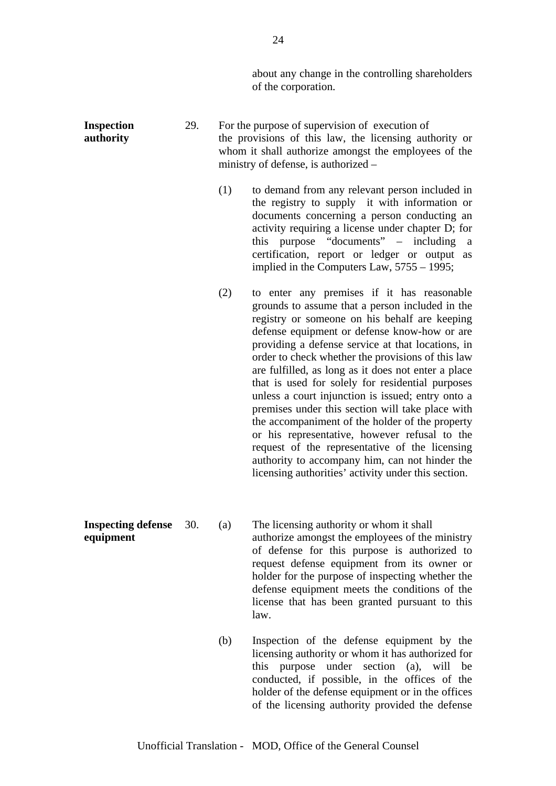about any change in the controlling shareholders of the corporation.

**Inspection** 29. For the purpose of supervision of execution of **authority** the provisions of this law, the licensing authority or whom it shall authorize amongst the employees of the ministry of defense, is authorized – (1) to demand from any relevant person included in the registry to supply it with information or documents concerning a person conducting an activity requiring a license under chapter D; for this purpose "documents" – including a certification, report or ledger or output as implied in the Computers Law, 5755 – 1995; (2) to enter any premises if it has reasonable grounds to assume that a person included in the registry or someone on his behalf are keeping defense equipment or defense know-how or are providing a defense service at that locations, in order to check whether the provisions of this law are fulfilled, as long as it does not enter a place that is used for solely for residential purposes unless a court injunction is issued; entry onto a premises under this section will take place with the accompaniment of the holder of the property or his representative, however refusal to the request of the representative of the licensing authority to accompany him, can not hinder the licensing authorities' activity under this section. **Inspecting defense** 30. (a) The licensing authority or whom it shall

**equipment** authorize amongst the employees of the ministry of defense for this purpose is authorized to request defense equipment from its owner or holder for the purpose of inspecting whether the defense equipment meets the conditions of the license that has been granted pursuant to this law.

> (b) Inspection of the defense equipment by the licensing authority or whom it has authorized for this purpose under section (a), will be conducted, if possible, in the offices of the holder of the defense equipment or in the offices of the licensing authority provided the defense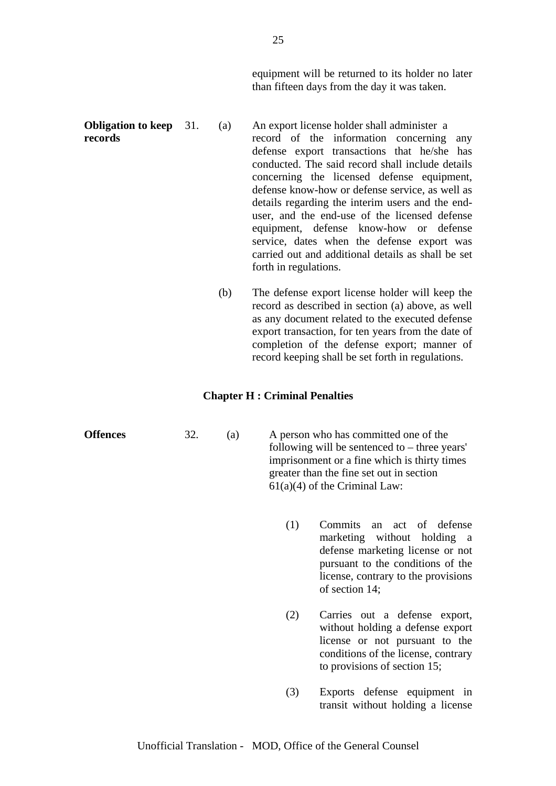equipment will be returned to its holder no later than fifteen days from the day it was taken.

- **Obligation to keep** 31. (a) An export license holder shall administer a **records** record of the information concerning any defense export transactions that he/she has conducted. The said record shall include details concerning the licensed defense equipment, defense know-how or defense service, as well as details regarding the interim users and the enduser, and the end-use of the licensed defense equipment, defense know-how or defense service, dates when the defense export was carried out and additional details as shall be set forth in regulations.
	- (b) The defense export license holder will keep the record as described in section (a) above, as well as any document related to the executed defense export transaction, for ten years from the date of completion of the defense export; manner of record keeping shall be set forth in regulations.

#### **Chapter H : Criminal Penalties**

| 32.<br><b>Offences</b> | (a) |  | A person who has committed one of the<br>following will be sentenced to $-$ three years'<br>imprisonment or a fine which is thirty times<br>greater than the fine set out in section<br>$61(a)(4)$ of the Criminal Law: |                                                                                                                                                                                               |  |
|------------------------|-----|--|-------------------------------------------------------------------------------------------------------------------------------------------------------------------------------------------------------------------------|-----------------------------------------------------------------------------------------------------------------------------------------------------------------------------------------------|--|
|                        |     |  | (1)                                                                                                                                                                                                                     | Commits<br>an act of defense<br>marketing without holding a<br>defense marketing license or not<br>pursuant to the conditions of the<br>license, contrary to the provisions<br>of section 14; |  |
|                        |     |  | (2)                                                                                                                                                                                                                     | Carries out a defense export,<br>without holding a defense export<br>license or not pursuant to the<br>conditions of the license, contrary<br>to provisions of section 15;                    |  |
|                        |     |  | (3)                                                                                                                                                                                                                     | Exports defense equipment in<br>transit without holding a license                                                                                                                             |  |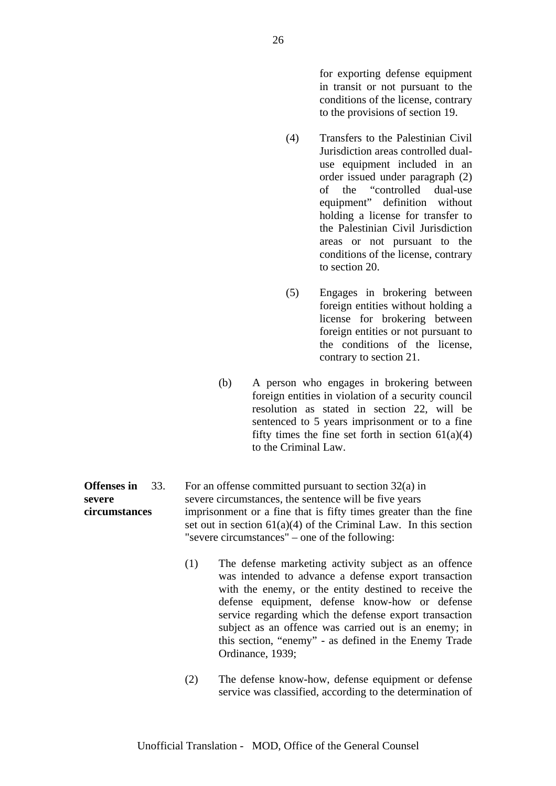for exporting defense equipment in transit or not pursuant to the conditions of the license, contrary to the provisions of section 19.

- (4) Transfers to the Palestinian Civil Jurisdiction areas controlled dualuse equipment included in an order issued under paragraph (2) of the "controlled dual-use equipment" definition without holding a license for transfer to the Palestinian Civil Jurisdiction areas or not pursuant to the conditions of the license, contrary to section 20.
- (5) Engages in brokering between foreign entities without holding a license for brokering between foreign entities or not pursuant to the conditions of the license, contrary to section 21.
- (b) A person who engages in brokering between foreign entities in violation of a security council resolution as stated in section 22, will be sentenced to 5 years imprisonment or to a fine fifty times the fine set forth in section  $61(a)(4)$ to the Criminal Law.

**Offenses in** 33. For an offense committed pursuant to section 32(a) in **severe** severe circumstances, the sentence will be five years **circumstances** imprisonment or a fine that is fifty times greater than the fine set out in section  $61(a)(4)$  of the Criminal Law. In this section "severe circumstances" – one of the following:

> (1) The defense marketing activity subject as an offence was intended to advance a defense export transaction with the enemy, or the entity destined to receive the defense equipment, defense know-how or defense service regarding which the defense export transaction subject as an offence was carried out is an enemy; in this section, "enemy" - as defined in the Enemy Trade Ordinance, 1939;

> (2) The defense know-how, defense equipment or defense service was classified, according to the determination of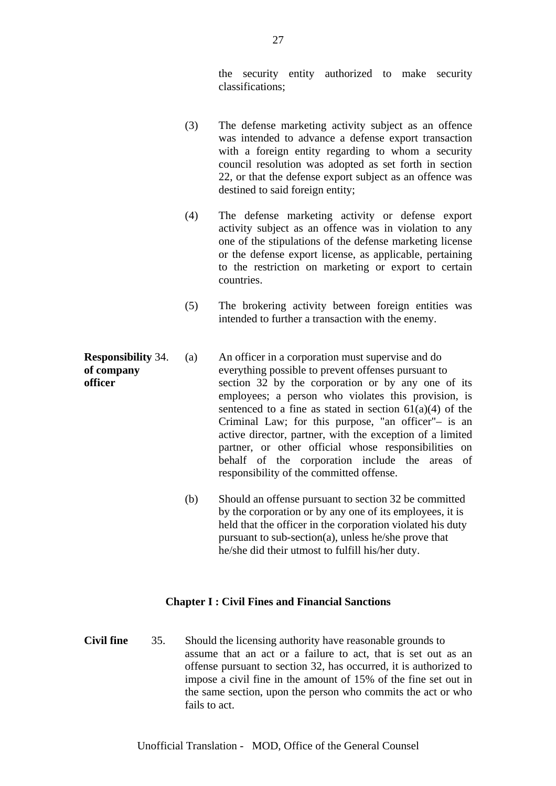the security entity authorized to make security classifications;

- (3) The defense marketing activity subject as an offence was intended to advance a defense export transaction with a foreign entity regarding to whom a security council resolution was adopted as set forth in section 22, or that the defense export subject as an offence was destined to said foreign entity;
- (4) The defense marketing activity or defense export activity subject as an offence was in violation to any one of the stipulations of the defense marketing license or the defense export license, as applicable, pertaining to the restriction on marketing or export to certain countries.
- (5) The brokering activity between foreign entities was intended to further a transaction with the enemy.
- **Responsibility** 34. (a) An officer in a corporation must supervise and do **of company** everything possible to prevent offenses pursuant to **officer** section 32 by the corporation or by any one of its employees; a person who violates this provision, is sentenced to a fine as stated in section  $61(a)(4)$  of the Criminal Law; for this purpose, "an officer"– is an active director, partner, with the exception of a limited partner, or other official whose responsibilities on behalf of the corporation include the areas of responsibility of the committed offense.
	- (b) Should an offense pursuant to section 32 be committed by the corporation or by any one of its employees, it is held that the officer in the corporation violated his duty pursuant to sub-section(a), unless he/she prove that he/she did their utmost to fulfill his/her duty.

# **Chapter I : Civil Fines and Financial Sanctions**

**Civil fine** 35. Should the licensing authority have reasonable grounds to assume that an act or a failure to act, that is set out as an offense pursuant to section 32, has occurred, it is authorized to impose a civil fine in the amount of 15% of the fine set out in the same section, upon the person who commits the act or who fails to act.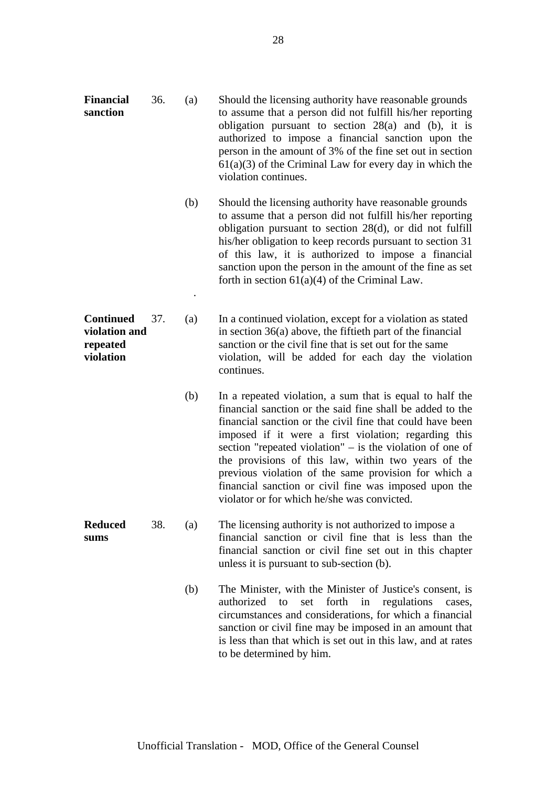to be determined by him.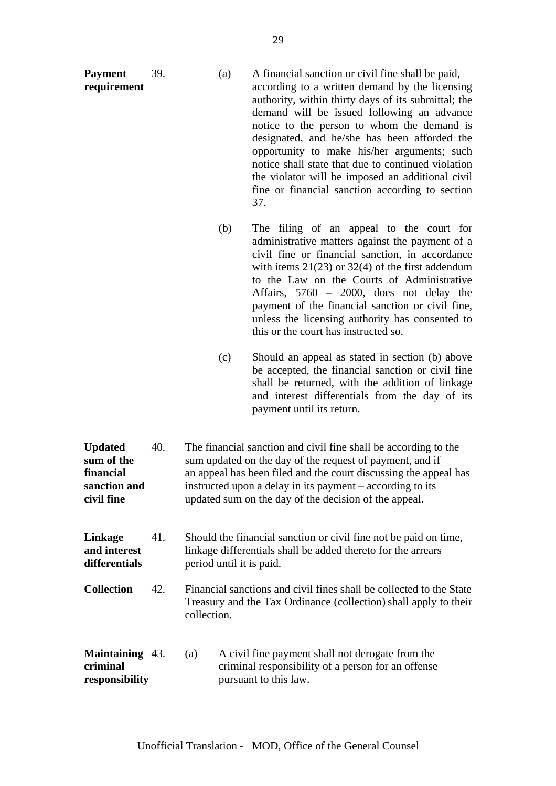| Payment<br>requirement                                                  | 39. | (a) | A financial sanction or civil fine shall be paid,<br>according to a written demand by the licensing<br>authority, within thirty days of its submittal; the<br>demand will be issued following an advance<br>notice to the person to whom the demand is<br>designated, and he/she has been afforded the<br>opportunity to make his/her arguments; such<br>notice shall state that due to continued violation<br>the violator will be imposed an additional civil<br>fine or financial sanction according to section<br>37. |
|-------------------------------------------------------------------------|-----|-----|---------------------------------------------------------------------------------------------------------------------------------------------------------------------------------------------------------------------------------------------------------------------------------------------------------------------------------------------------------------------------------------------------------------------------------------------------------------------------------------------------------------------------|
|                                                                         |     | (b) | The filing of an appeal to the court for<br>administrative matters against the payment of a<br>civil fine or financial sanction, in accordance<br>with items $21(23)$ or $32(4)$ of the first addendum<br>to the Law on the Courts of Administrative<br>Affairs, 5760 - 2000, does not delay the<br>payment of the financial sanction or civil fine,<br>unless the licensing authority has consented to<br>this or the court has instructed so.                                                                           |
|                                                                         |     | (c) | Should an appeal as stated in section (b) above<br>be accepted, the financial sanction or civil fine<br>shall be returned, with the addition of linkage<br>and interest differentials from the day of its<br>payment until its return.                                                                                                                                                                                                                                                                                    |
| <b>Updated</b><br>sum of the<br>financial<br>sanction and<br>civil fine | 40. |     | The financial sanction and civil fine shall be according to the<br>sum updated on the day of the request of payment, and if<br>an appeal has been filed and the court discussing the appeal has<br>instructed upon a delay in its payment – according to its<br>updated sum on the day of the decision of the appeal.                                                                                                                                                                                                     |

| Linkage<br>and interest<br>differentials | 41. | Should the financial sanction or civil fine not be paid on time,<br>linkage differentials shall be added thereto for the arrears<br>period until it is paid. |
|------------------------------------------|-----|--------------------------------------------------------------------------------------------------------------------------------------------------------------|
| <b>Collection</b>                        | 42. | Financial sanctions and civil fines shall be collected to the State<br>Treasury and the Tax Ordinance (collection) shall apply to their<br>collection.       |

| <b>Maintaining</b> 43. | (a) | A civil fine payment shall not derogate from the   |
|------------------------|-----|----------------------------------------------------|
| criminal               |     | criminal responsibility of a person for an offense |
| responsibility         |     | pursuant to this law.                              |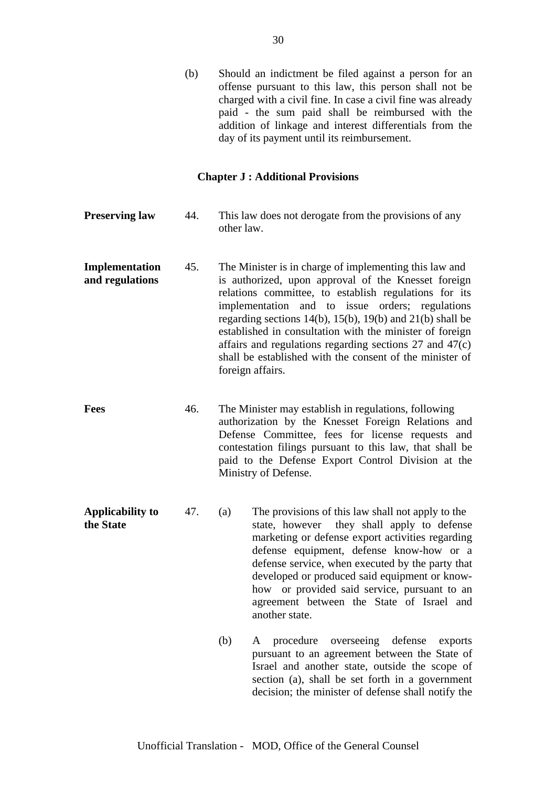(b) Should an indictment be filed against a person for an offense pursuant to this law, this person shall not be charged with a civil fine. In case a civil fine was already paid - the sum paid shall be reimbursed with the addition of linkage and interest differentials from the day of its payment until its reimbursement.

#### **Chapter J : Additional Provisions**

- **Preserving law** 44. This law does not derogate from the provisions of any other law.
- **Implementation** 45. The Minister is in charge of implementing this law and **and regulations** is authorized, upon approval of the Knesset foreign relations committee, to establish regulations for its implementation and to issue orders; regulations regarding sections 14(b), 15(b), 19(b) and 21(b) shall be established in consultation with the minister of foreign affairs and regulations regarding sections 27 and 47(c) shall be established with the consent of the minister of foreign affairs.
- **Fees** 46. The Minister may establish in regulations, following authorization by the Knesset Foreign Relations and Defense Committee, fees for license requests and contestation filings pursuant to this law, that shall be paid to the Defense Export Control Division at the Ministry of Defense.
- **Applicability to** 47. (a) The provisions of this law shall not apply to the **the State** state, however they shall apply to defense marketing or defense export activities regarding defense equipment, defense know-how or a defense service, when executed by the party that developed or produced said equipment or knowhow or provided said service, pursuant to an agreement between the State of Israel and another state.
	- (b) A procedure overseeing defense exports pursuant to an agreement between the State of Israel and another state, outside the scope of section (a), shall be set forth in a government decision; the minister of defense shall notify the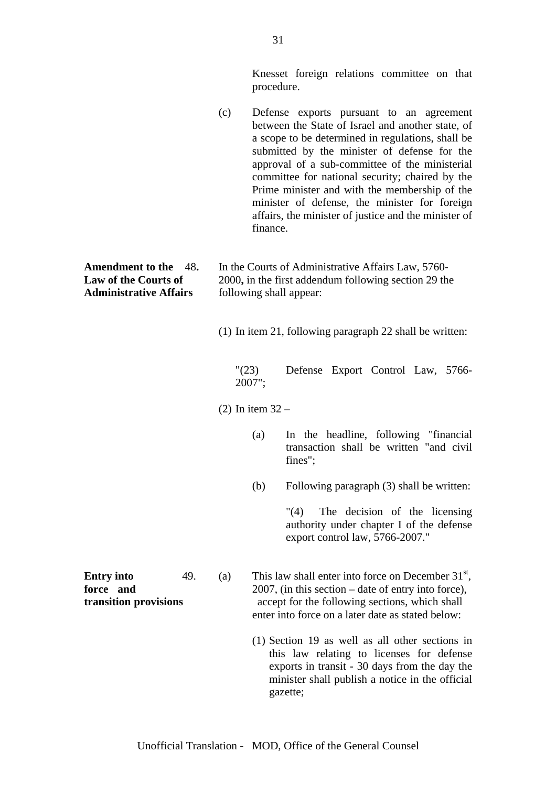Knesset foreign relations committee on that procedure.

(c) Defense exports pursuant to an agreement between the State of Israel and another state, of a scope to be determined in regulations, shall be submitted by the minister of defense for the approval of a sub-committee of the ministerial committee for national security; chaired by the Prime minister and with the membership of the minister of defense, the minister for foreign affairs, the minister of justice and the minister of finance. **Amendment to the** 48**.** In the Courts of Administrative Affairs Law, 5760- **Law of the Courts of 2000, in the first addendum following section 29 the** Administrative Affairs **following shall appear:** (1) In item 21, following paragraph 22 shall be written: "(23) Defense Export Control Law, 5766- 2007"; (2) In item 32 – (a) In the headline, following "financial transaction shall be written "and civil fines"; (b) Following paragraph (3) shall be written: "(4) The decision of the licensing authority under chapter I of the defense export control law, 5766-2007." **Entry into** 49. (a) This law shall enter into force on December  $31<sup>st</sup>$ , **force** and 2007, (in this section – date of entry into force). **transition provisions** accept for the following sections, which shall enter into force on a later date as stated below: (1) Section 19 as well as all other sections in this law relating to licenses for defense exports in transit - 30 days from the day the minister shall publish a notice in the official gazette;